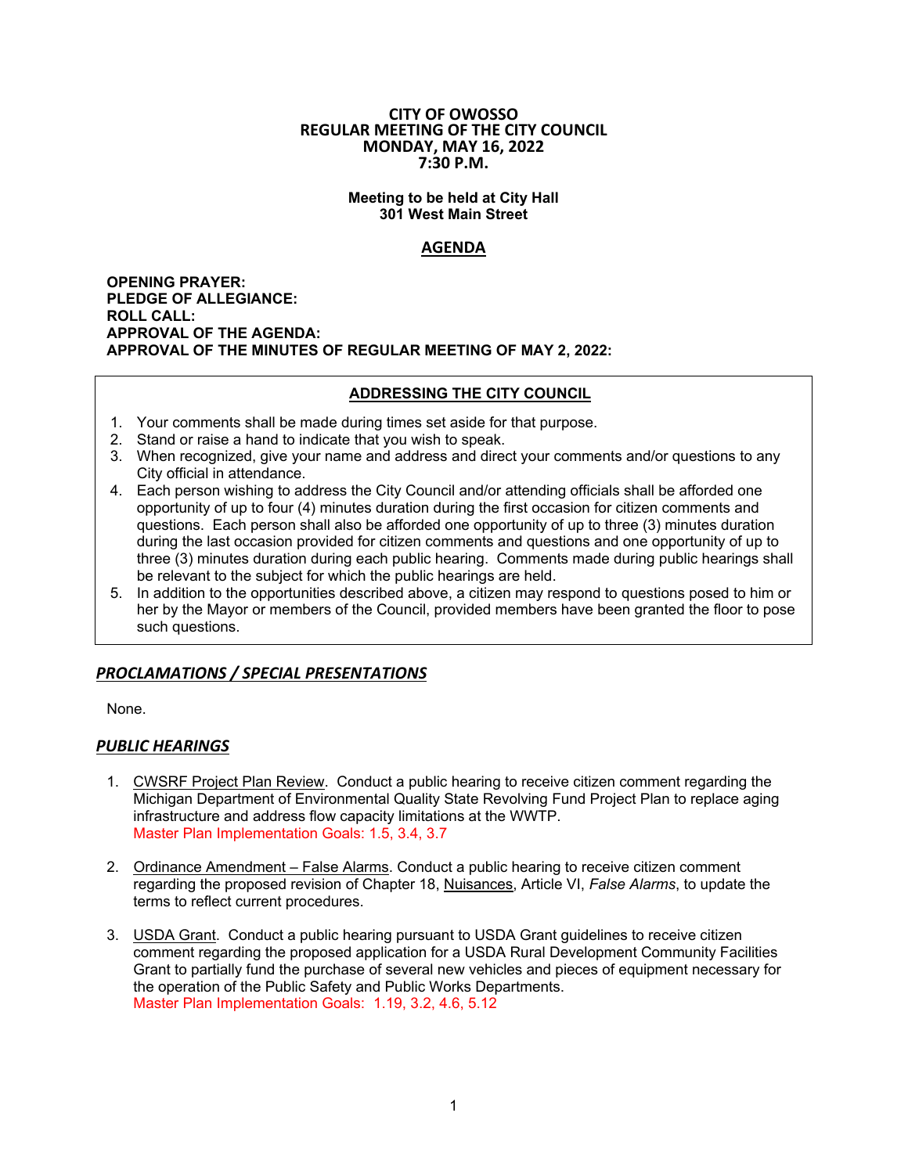#### **CITY OF OWOSSO REGULAR MEETING OF THE CITY COUNCIL MONDAY, MAY 16, 2022 7:30 P.M.**

#### **Meeting to be held at City Hall 301 West Main Street**

# **AGENDA**

**OPENING PRAYER: PLEDGE OF ALLEGIANCE: ROLL CALL: APPROVAL OF THE AGENDA: APPROVAL OF THE MINUTES OF REGULAR MEETING OF MAY 2, 2022:** 

#### **ADDRESSING THE CITY COUNCIL**

- 1. Your comments shall be made during times set aside for that purpose.
- 2. Stand or raise a hand to indicate that you wish to speak.
- 3. When recognized, give your name and address and direct your comments and/or questions to any City official in attendance.
- 4. Each person wishing to address the City Council and/or attending officials shall be afforded one opportunity of up to four (4) minutes duration during the first occasion for citizen comments and questions. Each person shall also be afforded one opportunity of up to three (3) minutes duration during the last occasion provided for citizen comments and questions and one opportunity of up to three (3) minutes duration during each public hearing. Comments made during public hearings shall be relevant to the subject for which the public hearings are held.
- 5. In addition to the opportunities described above, a citizen may respond to questions posed to him or her by the Mayor or members of the Council, provided members have been granted the floor to pose such questions.

# *PROCLAMATIONS / SPECIAL PRESENTATIONS*

None.

## *PUBLIC HEARINGS*

- 1. CWSRF Project Plan Review. Conduct a public hearing to receive citizen comment regarding the Michigan Department of Environmental Quality State Revolving Fund Project Plan to replace aging infrastructure and address flow capacity limitations at the WWTP. Master Plan Implementation Goals: 1.5, 3.4, 3.7
- 2. Ordinance Amendment False Alarms. Conduct a public hearing to receive citizen comment regarding the proposed revision of Chapter 18, Nuisances, Article VI, *False Alarms*, to update the terms to reflect current procedures.
- 3. USDA Grant. Conduct a public hearing pursuant to USDA Grant guidelines to receive citizen comment regarding the proposed application for a USDA Rural Development Community Facilities Grant to partially fund the purchase of several new vehicles and pieces of equipment necessary for the operation of the Public Safety and Public Works Departments. Master Plan Implementation Goals: 1.19, 3.2, 4.6, 5.12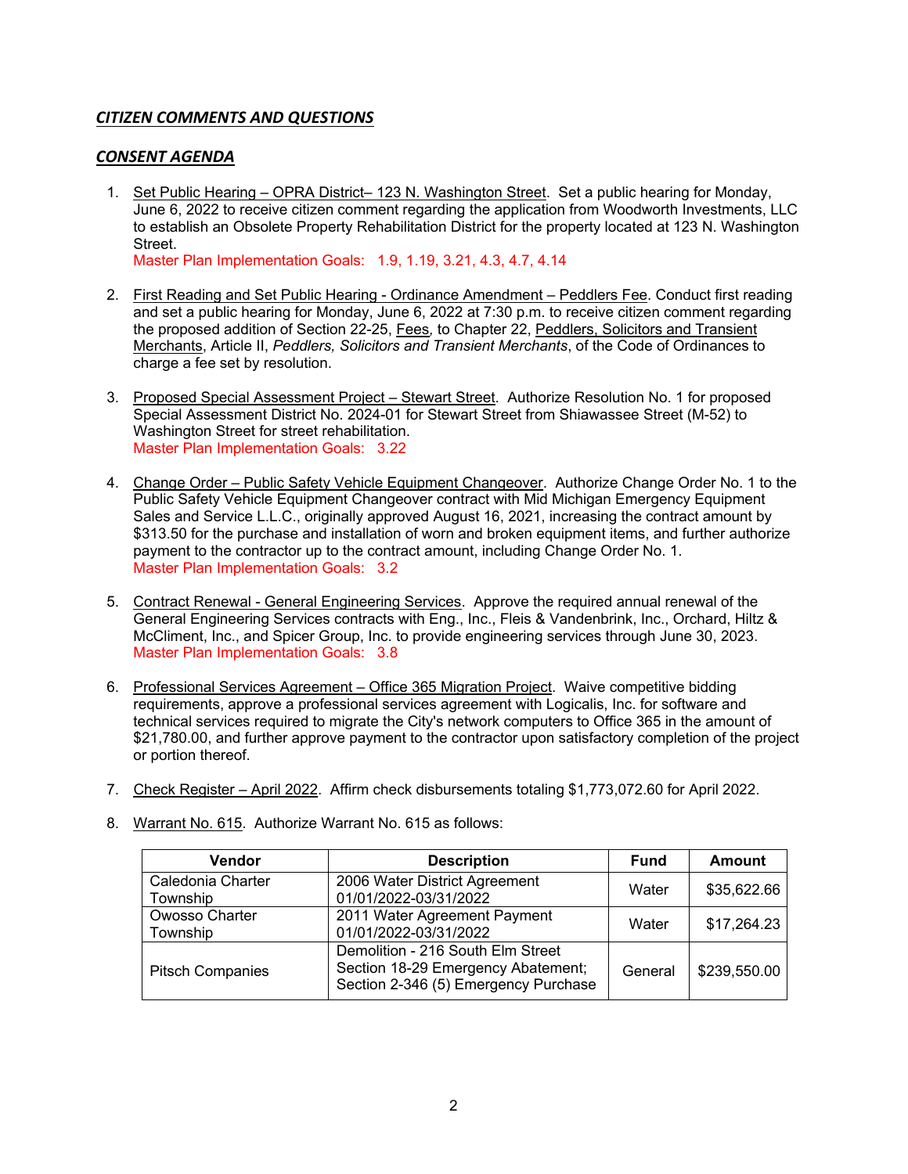# *CITIZEN COMMENTS AND QUESTIONS*

## *CONSENT AGENDA*

1. Set Public Hearing – OPRA District– 123 N. Washington Street. Set a public hearing for Monday, June 6, 2022 to receive citizen comment regarding the application from Woodworth Investments, LLC to establish an Obsolete Property Rehabilitation District for the property located at 123 N. Washington Street.

Master Plan Implementation Goals: 1.9, 1.19, 3.21, 4.3, 4.7, 4.14

- 2. First Reading and Set Public Hearing Ordinance Amendment Peddlers Fee. Conduct first reading and set a public hearing for Monday, June 6, 2022 at 7:30 p.m. to receive citizen comment regarding the proposed addition of Section 22-25, Fees*,* to Chapter 22, Peddlers, Solicitors and Transient Merchants, Article II, *Peddlers, Solicitors and Transient Merchants*, of the Code of Ordinances to charge a fee set by resolution.
- 3. Proposed Special Assessment Project Stewart Street. Authorize Resolution No. 1 for proposed Special Assessment District No. 2024-01 for Stewart Street from Shiawassee Street (M-52) to Washington Street for street rehabilitation. Master Plan Implementation Goals: 3.22
- 4. Change Order Public Safety Vehicle Equipment Changeover. Authorize Change Order No. 1 to the Public Safety Vehicle Equipment Changeover contract with Mid Michigan Emergency Equipment Sales and Service L.L.C., originally approved August 16, 2021, increasing the contract amount by \$313.50 for the purchase and installation of worn and broken equipment items, and further authorize payment to the contractor up to the contract amount, including Change Order No. 1. Master Plan Implementation Goals: 3.2
- 5. Contract Renewal General Engineering Services. Approve the required annual renewal of the General Engineering Services contracts with Eng., Inc., Fleis & Vandenbrink, Inc., Orchard, Hiltz & McCliment, Inc., and Spicer Group, Inc. to provide engineering services through June 30, 2023. Master Plan Implementation Goals: 3.8
- 6. Professional Services Agreement Office 365 Migration Project. Waive competitive bidding requirements, approve a professional services agreement with Logicalis, Inc. for software and technical services required to migrate the City's network computers to Office 365 in the amount of \$21,780.00, and further approve payment to the contractor upon satisfactory completion of the project or portion thereof.
- 7. Check Register April 2022. Affirm check disbursements totaling \$1,773,072.60 for April 2022.

| <b>Vendor</b>                 | <b>Description</b>                                                                                              | <b>Fund</b> | <b>Amount</b> |
|-------------------------------|-----------------------------------------------------------------------------------------------------------------|-------------|---------------|
| Caledonia Charter<br>Township | 2006 Water District Agreement<br>01/01/2022-03/31/2022                                                          | Water       | \$35,622.66   |
| Owosso Charter<br>Township    | 2011 Water Agreement Payment<br>01/01/2022-03/31/2022                                                           | Water       | \$17,264.23   |
| <b>Pitsch Companies</b>       | Demolition - 216 South Elm Street<br>Section 18-29 Emergency Abatement;<br>Section 2-346 (5) Emergency Purchase | General     | \$239,550.00  |

8. Warrant No. 615. Authorize Warrant No. 615 as follows: